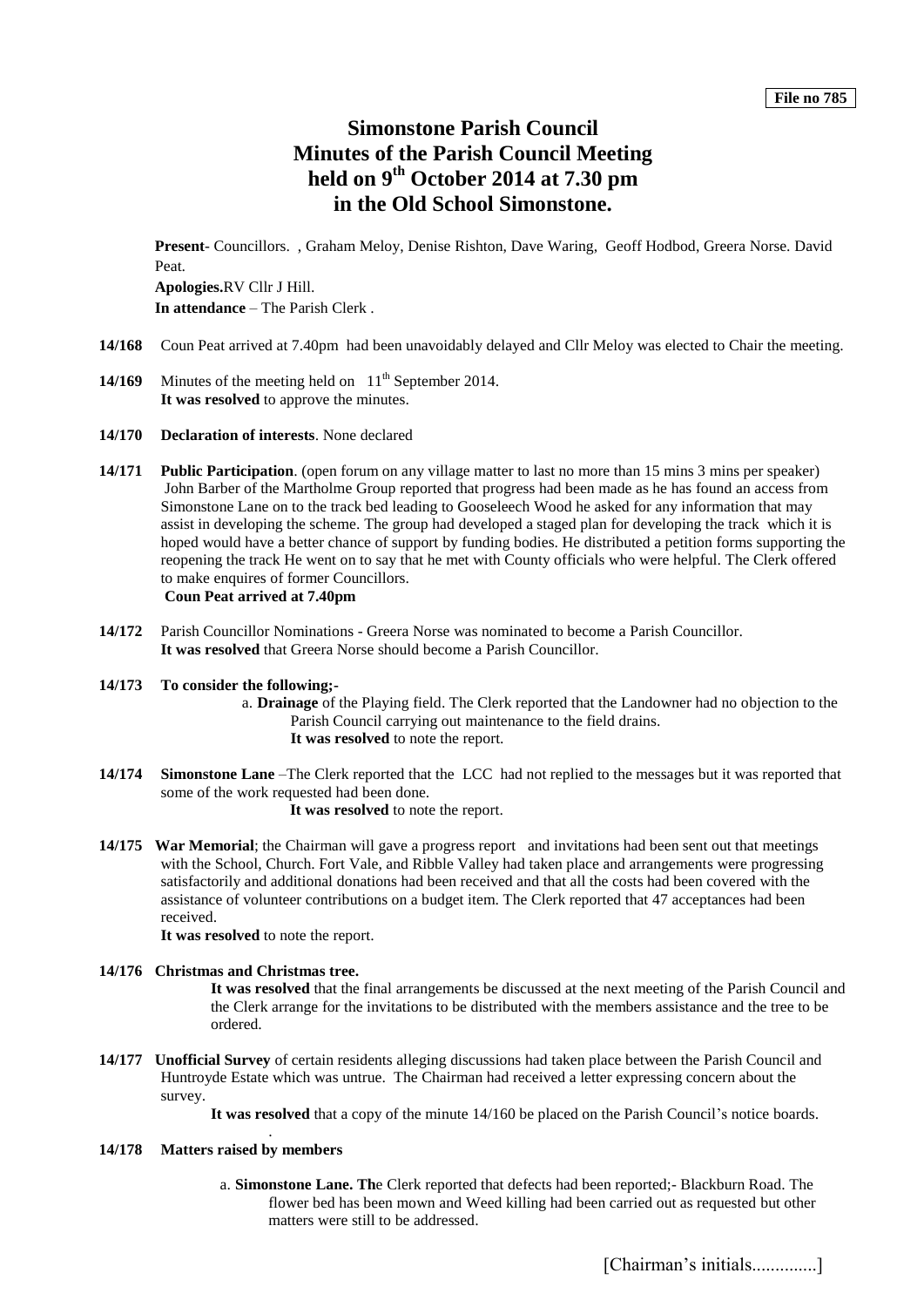# **Simonstone Parish Council Minutes of the Parish Council Meeting held on 9 th October 2014 at 7.30 pm in the Old School Simonstone.**

**Present**- Councillors. , Graham Meloy, Denise Rishton, Dave Waring, Geoff Hodbod, Greera Norse. David Peat. **Apologies.**RV Cllr J Hill. **In attendance** – The Parish Clerk .

- **14/168** Coun Peat arrived at 7.40pm had been unavoidably delayed and Cllr Meloy was elected to Chair the meeting.
- **14/169** Minutes of the meeting held on 11<sup>th</sup> September 2014. It was resolved to approve the minutes.
- **14/170 Declaration of interests**. None declared
- **14/171 Public Participation**. (open forum on any village matter to last no more than 15 mins 3 mins per speaker) John Barber of the Martholme Group reported that progress had been made as he has found an access from Simonstone Lane on to the track bed leading to Gooseleech Wood he asked for any information that may assist in developing the scheme. The group had developed a staged plan for developing the track which it is hoped would have a better chance of support by funding bodies. He distributed a petition forms supporting the reopening the track He went on to say that he met with County officials who were helpful. The Clerk offered to make enquires of former Councillors. **Coun Peat arrived at 7.40pm**
- **14/172** Parish Councillor Nominations Greera Norse was nominated to become a Parish Councillor. **It was resolved** that Greera Norse should become a Parish Councillor.

# **14/173 To consider the following;-**

- a. **Drainage** of the Playing field. The Clerk reported that the Landowner had no objection to the Parish Council carrying out maintenance to the field drains. **It was resolved** to note the report.
- **14/174 Simonstone Lane** –The Clerk reported that the LCC had not replied to the messages but it was reported that some of the work requested had been done.

 **It was resolved** to note the report.

**14/175 War Memorial**; the Chairman will gave a progress report and invitations had been sent out that meetings with the School, Church. Fort Vale, and Ribble Valley had taken place and arrangements were progressing satisfactorily and additional donations had been received and that all the costs had been covered with the assistance of volunteer contributions on a budget item. The Clerk reported that 47 acceptances had been received.

**It was resolved** to note the report.

.

# **14/176 Christmas and Christmas tree.**

**It was resolved** that the final arrangements be discussed at the next meeting of the Parish Council and the Clerk arrange for the invitations to be distributed with the members assistance and the tree to be ordered.

- **14/177 Unofficial Survey** of certain residents alleging discussions had taken place between the Parish Council and Huntroyde Estate which was untrue. The Chairman had received a letter expressing concern about the survey.
	- **It was resolved** that a copy of the minute 14/160 be placed on the Parish Council's notice boards.

# **14/178 Matters raised by members**

a. **Simonstone Lane. Th**e Clerk reported that defects had been reported;- Blackburn Road. The flower bed has been mown and Weed killing had been carried out as requested but other matters were still to be addressed.

[Chairman's initials..............]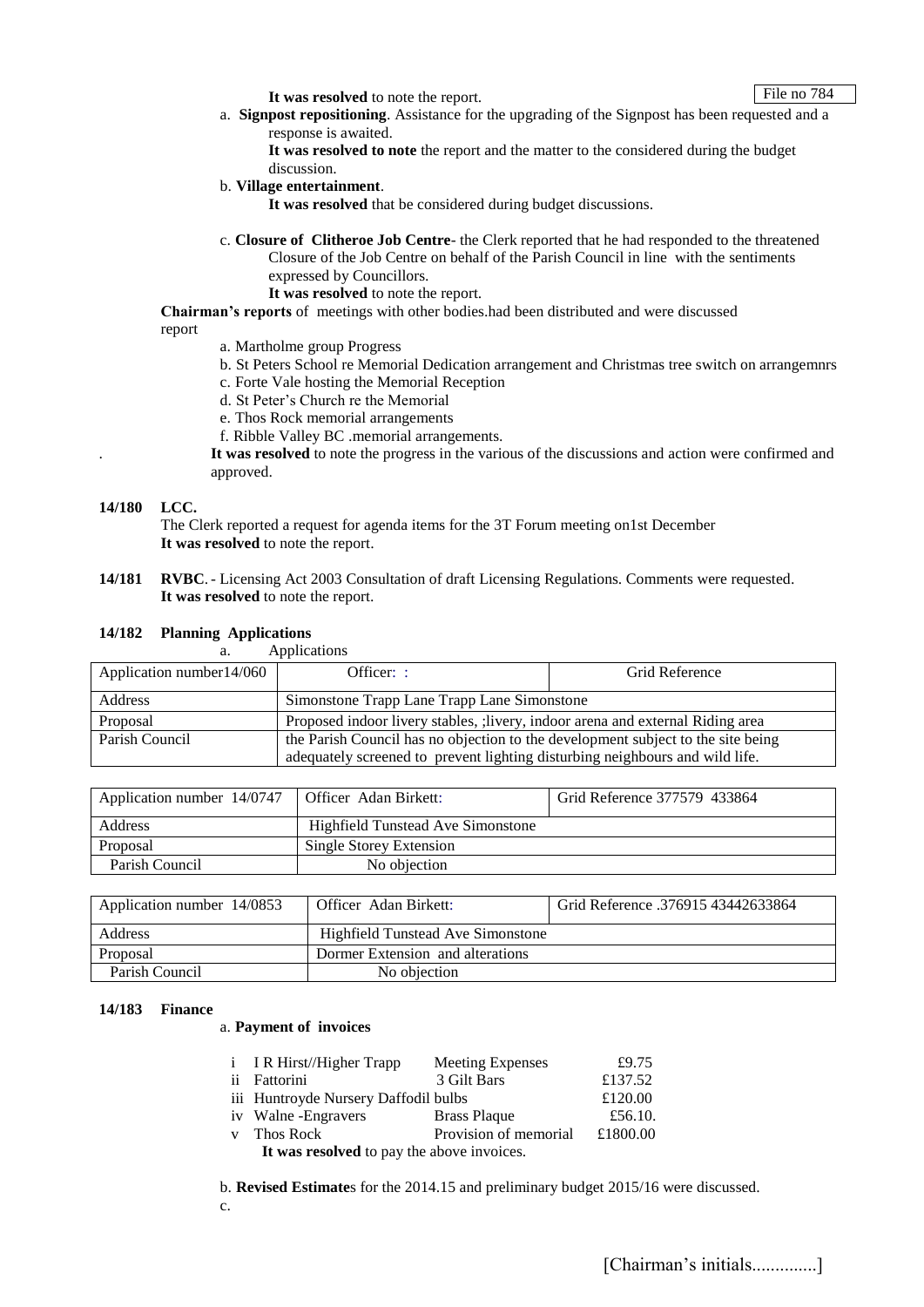File no 784

**It was resolved** to note the report.

a. **Signpost repositioning**. Assistance for the upgrading of the Signpost has been requested and a response is awaited.

**It was resolved to note** the report and the matter to the considered during the budget discussion.

b. **Village entertainment**.

**It was resolved** that be considered during budget discussions.

- c. **Closure of Clitheroe Job Centre** the Clerk reported that he had responded to the threatened Closure of the Job Centre on behalf of the Parish Council in line with the sentiments expressed by Councillors.
	- **It was resolved** to note the report.

## **Chairman's reports** of meetings with other bodies.had been distributed and were discussed report

- a. Martholme group Progress
- b. St Peters School re Memorial Dedication arrangement and Christmas tree switch on arrangemnrs
- c. Forte Vale hosting the Memorial Reception
- d. St Peter's Church re the Memorial
- e. Thos Rock memorial arrangements
- f. Ribble Valley BC .memorial arrangements.

. **It was resolved** to note the progress in the various of the discussions and action were confirmed and approved.

## **14/180 LCC.**

**14/182 Planning Applications**

The Clerk reported a request for agenda items for the 3T Forum meeting on1st December **It was resolved** to note the report.

**14/181 RVBC**.- Licensing Act 2003 Consultation of draft Licensing Regulations. Comments were requested. **It was resolved** to note the report.

| Applications<br>a.        |                                                                                  |                |  |  |
|---------------------------|----------------------------------------------------------------------------------|----------------|--|--|
| Application number 14/060 | Officer: :                                                                       | Grid Reference |  |  |
| Address                   | Simonstone Trapp Lane Trapp Lane Simonstone                                      |                |  |  |
| Proposal                  | Proposed indoor livery stables, ; livery, indoor arena and external Riding area  |                |  |  |
| Parish Council            | the Parish Council has no objection to the development subject to the site being |                |  |  |
|                           | adequately screened to prevent lighting disturbing neighbours and wild life.     |                |  |  |

| Application number 14/0747   Officer Adan Birkett: |                                          | Grid Reference 377579 433864 |
|----------------------------------------------------|------------------------------------------|------------------------------|
| Address                                            | <b>Highfield Tunstead Ave Simonstone</b> |                              |
| Proposal                                           | Single Storey Extension                  |                              |
| Parish Council                                     | No objection                             |                              |

| Application number 14/0853 | Officer Adan Birkett:                    | Grid Reference .376915 43442633864 |
|----------------------------|------------------------------------------|------------------------------------|
| Address                    | <b>Highfield Tunstead Ave Simonstone</b> |                                    |
| Proposal                   | Dormer Extension and alterations         |                                    |
| Parish Council             | No objection                             |                                    |

# **14/183 Finance**

a. **Payment of invoices**

| i I R Hirst//Higher Trapp                  | Meeting Expenses      | £9.75    |  |  |  |  |
|--------------------------------------------|-----------------------|----------|--|--|--|--|
| ii Fattorini                               | 3 Gilt Bars           | £137.52  |  |  |  |  |
| iii Huntroyde Nursery Daffodil bulbs       |                       | £120.00  |  |  |  |  |
| iv Walne-Engravers                         | <b>Brass Plaque</b>   | £56.10.  |  |  |  |  |
| v Thos Rock                                | Provision of memorial | £1800.00 |  |  |  |  |
| It was resolved to pay the above invoices. |                       |          |  |  |  |  |

b. **Revised Estimate**s for the 2014.15 and preliminary budget 2015/16 were discussed. c.